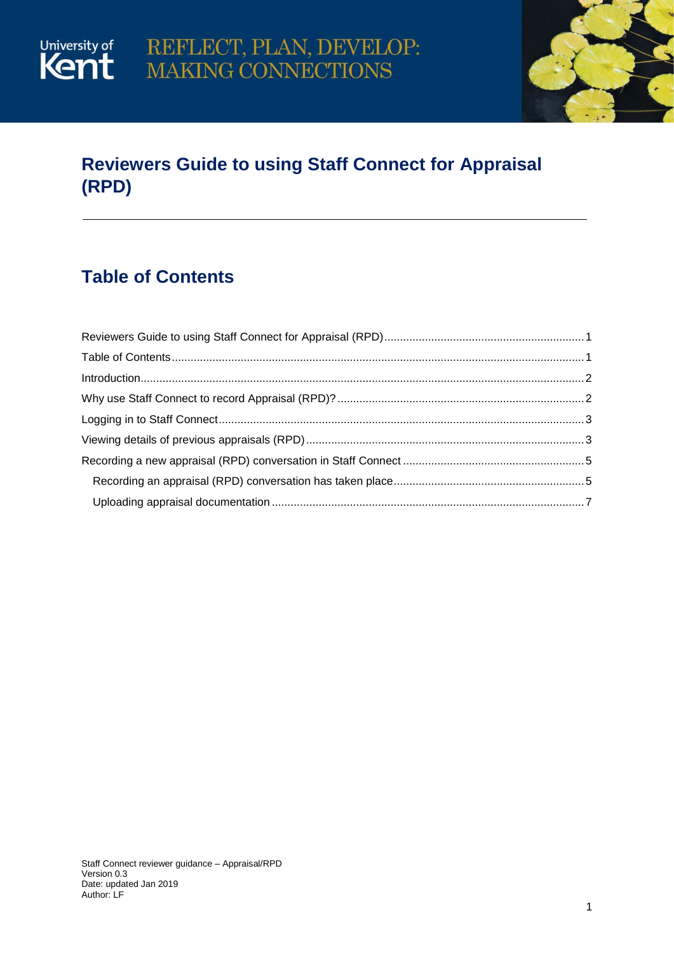

## <span id="page-0-0"></span>**Reviewers Guide to using Staff Connect for Appraisal (RPD)**

## <span id="page-0-1"></span>**Table of Contents**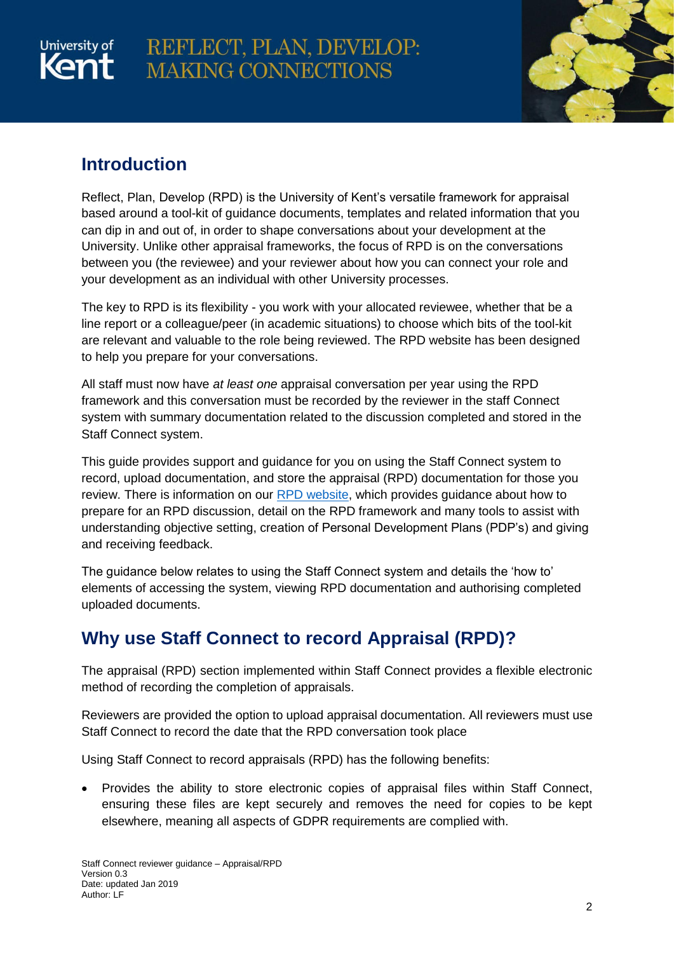# University of

# REFLECT, PLAN, DEVELOP: **MAKING CONNECTIONS**



## <span id="page-1-0"></span>**Introduction**

Reflect, Plan, Develop (RPD) is the University of Kent's versatile framework for appraisal based around a tool-kit of guidance documents, templates and related information that you can dip in and out of, in order to shape conversations about your development at the University. Unlike other appraisal frameworks, the focus of RPD is on the conversations between you (the reviewee) and your reviewer about how you can connect your role and your development as an individual with other University processes.

The key to RPD is its flexibility - you work with your allocated reviewee, whether that be a line report or a colleague/peer (in academic situations) to choose which bits of the tool-kit are relevant and valuable to the role being reviewed. The RPD website has been designed to help you prepare for your conversations.

All staff must now have *at least one* appraisal conversation per year using the RPD framework and this conversation must be recorded by the reviewer in the staff Connect system with summary documentation related to the discussion completed and stored in the Staff Connect system.

This guide provides support and guidance for you on using the Staff Connect system to record, upload documentation, and store the appraisal (RPD) documentation for those you review. There is information on our [RPD website,](https://www.kent.ac.uk/human-resources/rpd/) which provides guidance about how to prepare for an RPD discussion, detail on the RPD framework and many tools to assist with understanding objective setting, creation of Personal Development Plans (PDP's) and giving and receiving feedback.

The guidance below relates to using the Staff Connect system and details the 'how to' elements of accessing the system, viewing RPD documentation and authorising completed uploaded documents.

## <span id="page-1-1"></span>**Why use Staff Connect to record Appraisal (RPD)?**

The appraisal (RPD) section implemented within Staff Connect provides a flexible electronic method of recording the completion of appraisals.

Reviewers are provided the option to upload appraisal documentation. All reviewers must use Staff Connect to record the date that the RPD conversation took place

Using Staff Connect to record appraisals (RPD) has the following benefits:

 Provides the ability to store electronic copies of appraisal files within Staff Connect, ensuring these files are kept securely and removes the need for copies to be kept elsewhere, meaning all aspects of GDPR requirements are complied with.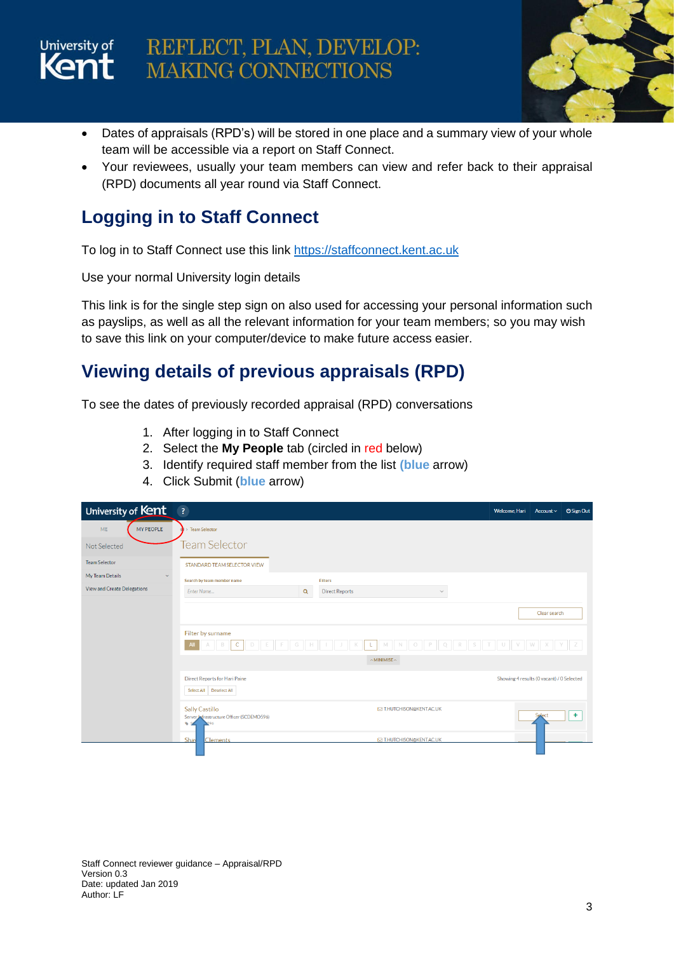

# REFLECT, PLAN, DEVELOP: **MAKING CONNECTIONS**



- Dates of appraisals (RPD's) will be stored in one place and a summary view of your whole team will be accessible via a report on Staff Connect.
- Your reviewees, usually your team members can view and refer back to their appraisal (RPD) documents all year round via Staff Connect.

## <span id="page-2-0"></span>**Logging in to Staff Connect**

To log in to Staff Connect use this link [https://staffconnect.kent.ac.uk](https://staffconnect.kent.ac.uk/)

Use your normal University login details

This link is for the single step sign on also used for accessing your personal information such as payslips, as well as all the relevant information for your team members; so you may wish to save this link on your computer/device to make future access easier.

## <span id="page-2-1"></span>**Viewing details of previous appraisals (RPD)**

To see the dates of previously recorded appraisal (RPD) conversations

- 1. After logging in to Staff Connect
- 2. Select the **My People** tab (circled in red below)
- 3. Identify required staff member from the list **(blue** arrow)
- 4. Click Submit (**blue** arrow)

| University of Kent                     | $\overline{\mathbf{3}}$                                                                                                            | Welcome, Hari                             | Account $\sim$ | <b>U</b> Sign Out |
|----------------------------------------|------------------------------------------------------------------------------------------------------------------------------------|-------------------------------------------|----------------|-------------------|
| MY PEOPLE<br><b>ME</b>                 | Team Selector                                                                                                                      |                                           |                |                   |
| Not Selected                           | <b>Team Selector</b>                                                                                                               |                                           |                |                   |
| <b>Team Selector</b>                   | STANDARD TEAM SELECTOR VIEW                                                                                                        |                                           |                |                   |
| My Team Details<br>$\ddot{\mathbf{v}}$ | Search by team member name<br><b>Filters</b>                                                                                       |                                           |                |                   |
| View and Create Delegations            | <b>Direct Reports</b><br>Enter Name<br>$\alpha$<br>$\checkmark$                                                                    |                                           |                |                   |
|                                        |                                                                                                                                    |                                           |                |                   |
|                                        |                                                                                                                                    |                                           | Clear search   |                   |
|                                        | Filter by surname                                                                                                                  |                                           |                |                   |
|                                        | $\mathsf{C}$<br>B<br>E<br>$N$ 0 $P$<br>$\mathbb R$<br>D<br>F<br>G<br>$\mathbb K$<br>L.<br>M<br>Q<br>S<br><b>All</b><br>$\mathbb H$ | U<br>V                                    | W              |                   |
|                                        | $\land$ MINIMISE $\land$                                                                                                           |                                           |                |                   |
|                                        | Direct Reports for Hari Paine                                                                                                      | Showing 4 results (O vacant) / O Selected |                |                   |
|                                        | Select All Deselect All                                                                                                            |                                           |                |                   |
|                                        | <b>Sally Castillo</b><br><b>E T.HUTCHISON@KENT.AC.UK</b>                                                                           |                                           |                |                   |
|                                        | Server Infrastructure Officer (SCDEMO596)<br>Ò.                                                                                    |                                           | Select         | ÷                 |
|                                        | Shav<br><b>Clements</b><br><b>EXAMPLE TEHUTCHISON@KENT.AC.UK</b>                                                                   |                                           |                |                   |
|                                        |                                                                                                                                    |                                           |                |                   |

Staff Connect reviewer guidance – Appraisal/RPD Version 0.3 Date: updated Jan 2019 Author: LF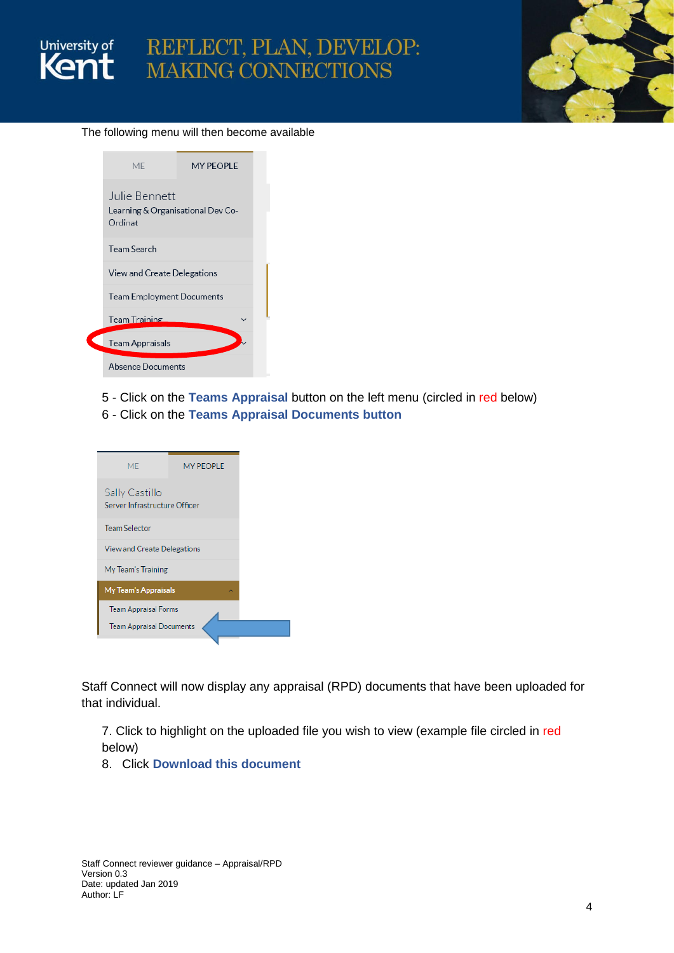



### The following menu will then become available

|  | MF                                                              | MY PFOPI F |  |  |  |  |
|--|-----------------------------------------------------------------|------------|--|--|--|--|
|  | Julie Bennett<br>Learning & Organisational Dev Co-<br>Ordinat   |            |  |  |  |  |
|  | <b>Team Search</b>                                              |            |  |  |  |  |
|  | View and Create Delegations<br><b>Team Employment Documents</b> |            |  |  |  |  |
|  |                                                                 |            |  |  |  |  |
|  | <b>Team Training</b>                                            |            |  |  |  |  |
|  | <b>Team Appraisals</b>                                          |            |  |  |  |  |
|  | <b>Absence Documents</b>                                        |            |  |  |  |  |

 $\overline{\mathcal{L}}$ 

- 5 Click on the **Teams Appraisal** button on the left menu (circled in red below)
- 6 Click on the **Teams Appraisal Documents button**

| <b>MF</b>                                       | <b>MY PFOPI F</b> |  |  |  |
|-------------------------------------------------|-------------------|--|--|--|
| Sally Castillo<br>Server Infrastructure Officer |                   |  |  |  |
| <b>Team Selector</b>                            |                   |  |  |  |
| View and Create Delegations                     |                   |  |  |  |
| My Team's Training                              |                   |  |  |  |
| <b>My Team's Appraisals</b>                     |                   |  |  |  |
| <b>Team Appraisal Forms</b>                     |                   |  |  |  |
| <b>Team Appraisal Documents</b>                 |                   |  |  |  |

Staff Connect will now display any appraisal (RPD) documents that have been uploaded for that individual.

7. Click to highlight on the uploaded file you wish to view (example file circled in red below)

8. Click **Download this document**

Staff Connect reviewer guidance – Appraisal/RPD Version 0.3 Date: updated Jan 2019 Author: LF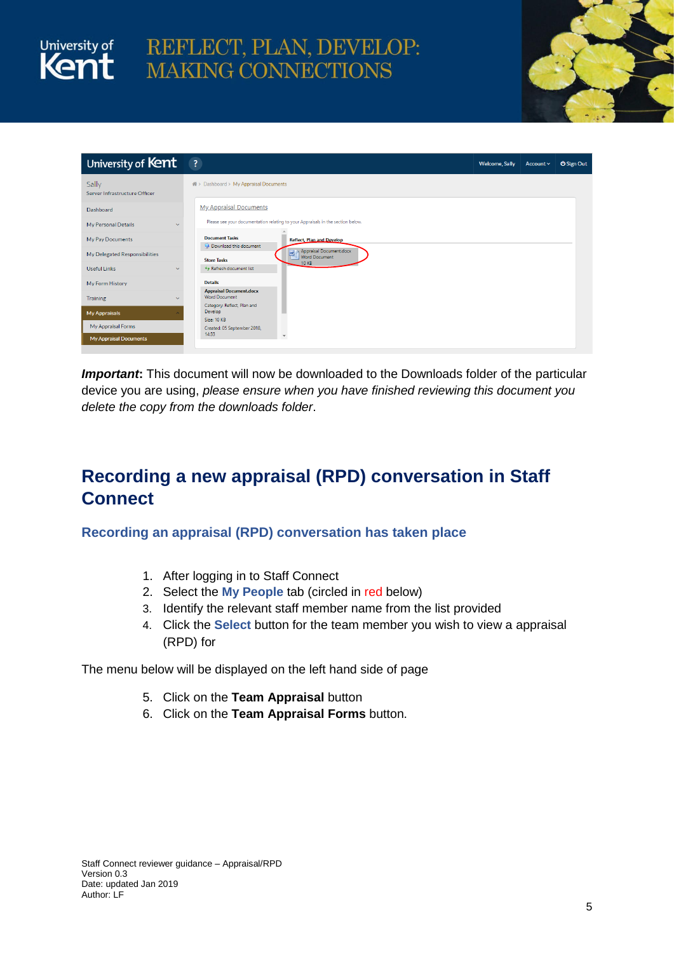# University of REFLECT, PLAN, DEVELOP:<br>Kent MAKING CONNECTIONS



| University of Kent                     | $\overline{\mathbf{3}}$                                                             | <b>Welcome, Sally</b> | Account v | <b>U</b> Sign Out |
|----------------------------------------|-------------------------------------------------------------------------------------|-----------------------|-----------|-------------------|
| Sally<br>Server Infrastructure Officer | 备 > Dashboard > My Appraisal Documents                                              |                       |           |                   |
| Dashboard                              | <b>My Appraisal Documents</b>                                                       |                       |           |                   |
| My Personal Details<br>$\checkmark$    | Please see your documentation relating to your Appraisals in the section below.     |                       |           |                   |
| My Pay Documents                       | <b>Document Tasks</b><br><b>Reflect, Plan and Develop</b><br>Download this document |                       |           |                   |
| My Delegated Responsibilities          | Appraisal Document.docx<br>図<br>Word Document<br><b>Store Tasks</b>                 |                       |           |                   |
| <b>Useful Links</b><br>$\checkmark$    | <b>10 KB</b><br>** Refresh document list                                            |                       |           |                   |
| My Form History                        | <b>Details</b>                                                                      |                       |           |                   |
| Training                               | <b>Appraisal Document.docx</b><br><b>Word Document</b>                              |                       |           |                   |
| <b>My Appraisals</b>                   | Category: Reflect, Plan and<br>Develop                                              |                       |           |                   |
| My Appraisal Forms                     | Size: 10 KB<br>Created: 05 September 2018,                                          |                       |           |                   |
| <b>My Appraisal Documents</b>          | 14:33<br>$\mathbf{v}$                                                               |                       |           |                   |

**Important:** This document will now be downloaded to the Downloads folder of the particular device you are using, *please ensure when you have finished reviewing this document you delete the copy from the downloads folder*.

## <span id="page-4-0"></span>**Recording a new appraisal (RPD) conversation in Staff Connect**

<span id="page-4-1"></span>**Recording an appraisal (RPD) conversation has taken place**

- 1. After logging in to Staff Connect
- 2. Select the **My People** tab (circled in red below)
- 3. Identify the relevant staff member name from the list provided
- 4. Click the **Select** button for the team member you wish to view a appraisal (RPD) for

The menu below will be displayed on the left hand side of page

- 5. Click on the **Team Appraisal** button
- 6. Click on the **Team Appraisal Forms** button.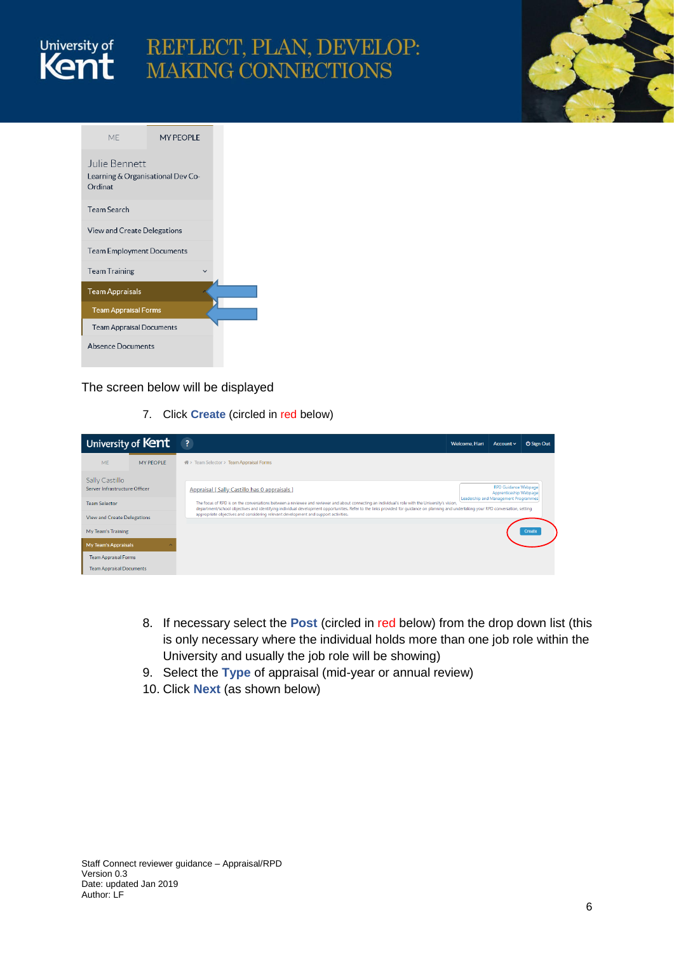

# REFLECT, PLAN, DEVELOP: MAKING CONNECTIONS



| MF                                                            | MY PEOPLE                        |  |  |  |  |  |
|---------------------------------------------------------------|----------------------------------|--|--|--|--|--|
| Julie Bennett<br>Learning & Organisational Dev Co-<br>Ordinat |                                  |  |  |  |  |  |
| <b>Team Search</b>                                            |                                  |  |  |  |  |  |
| View and Create Delegations                                   |                                  |  |  |  |  |  |
|                                                               | <b>Team Employment Documents</b> |  |  |  |  |  |
| <b>Team Training</b>                                          |                                  |  |  |  |  |  |
| <b>Team Appraisals</b>                                        |                                  |  |  |  |  |  |
| <b>Team Appraisal Forms</b>                                   |                                  |  |  |  |  |  |
| <b>Team Appraisal Documents</b>                               |                                  |  |  |  |  |  |
| <b>Absence Documents</b>                                      |                                  |  |  |  |  |  |

## The screen below will be displayed

7. Click **Create** (circled in red below)

|                                                          | University of Kent |                                                                                                                                                                                                                                                                                                                                                                                                                                   | Welcome, Hari | Account $\sim$                                        | <b>U</b> Sign Out |
|----------------------------------------------------------|--------------------|-----------------------------------------------------------------------------------------------------------------------------------------------------------------------------------------------------------------------------------------------------------------------------------------------------------------------------------------------------------------------------------------------------------------------------------|---------------|-------------------------------------------------------|-------------------|
| <b>ME</b>                                                | <b>MY PEOPLE</b>   | 备 > Team Selector > Team Appraisal Forms                                                                                                                                                                                                                                                                                                                                                                                          |               |                                                       |                   |
| Sally Castillo<br>Server Infrastructure Officer          |                    | Appraisal [Sally Castillo has 0 appraisals ]                                                                                                                                                                                                                                                                                                                                                                                      |               | <b>RPD Guidance Webpage</b><br>Apprenticeship Webpage |                   |
| <b>Team Selector</b>                                     |                    | The focus of RPD is on the conversations between a reviewee and reviewer and about connecting an individual's role with the University's vision,<br>department/school objectives and identifying individual development opportunities. Refer to the links provided for quidance on planning and undertaking your RPD conversation, setting<br>appropriate objectives and considering relevant development and support activities. |               | Leadership and Management Programmes                  |                   |
| <b>View and Create Delegations</b><br>My Team's Training |                    |                                                                                                                                                                                                                                                                                                                                                                                                                                   |               |                                                       | Create            |
| My Team's Appraisals                                     |                    |                                                                                                                                                                                                                                                                                                                                                                                                                                   |               |                                                       |                   |
| <b>Team Appraisal Forms</b>                              |                    |                                                                                                                                                                                                                                                                                                                                                                                                                                   |               |                                                       |                   |
| <b>Team Appraisal Documents</b>                          |                    |                                                                                                                                                                                                                                                                                                                                                                                                                                   |               |                                                       |                   |

- 8. If necessary select the **Post** (circled in red below) from the drop down list (this is only necessary where the individual holds more than one job role within the University and usually the job role will be showing)
- 9. Select the **Type** of appraisal (mid-year or annual review)
- 10. Click **Next** (as shown below)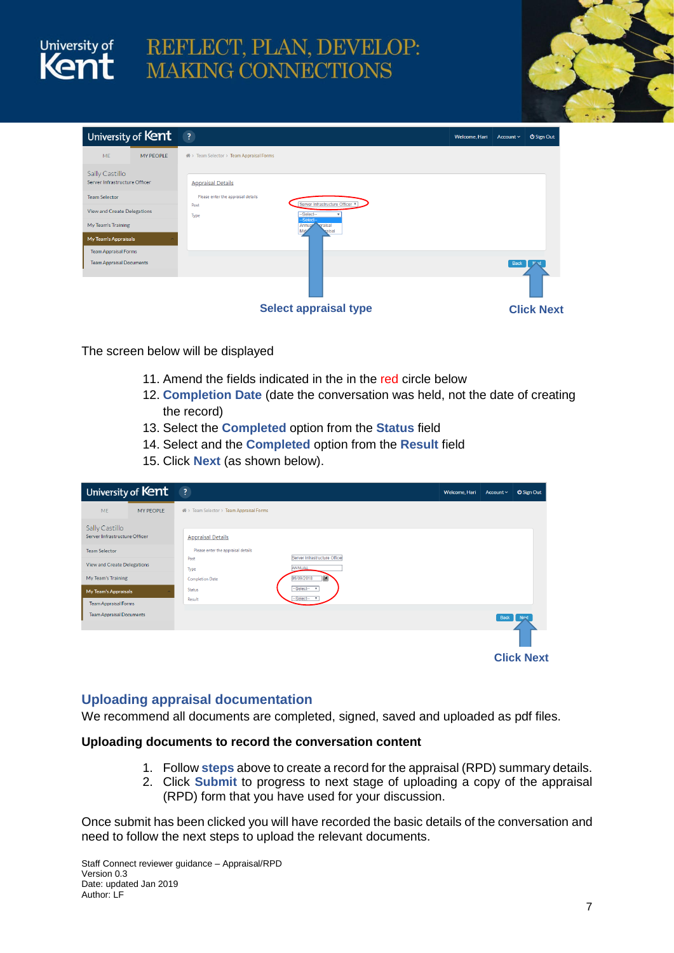

# REFLECT, PLAN, DEVELOP: **MAKING CONNECTIONS**



|                                                 | University of Kent | $\left  \cdot \right $                                    | Welcome, Hari | Account $\smallsmile$ | <b>U</b> Sign Out |
|-------------------------------------------------|--------------------|-----------------------------------------------------------|---------------|-----------------------|-------------------|
| <b>ME</b>                                       | <b>MY PEOPLE</b>   | 骨 > Team Selector > Team Appraisal Forms                  |               |                       |                   |
| Sally Castillo<br>Server Infrastructure Officer |                    | <b>Appraisal Details</b>                                  |               |                       |                   |
| <b>Team Selector</b>                            |                    | Please enter the appraisal details                        |               |                       |                   |
| View and Create Delegations                     |                    | Server Infrastructure Officer<br>Post<br>-Select-<br>Type |               |                       |                   |
| My Team's Training                              |                    | -Select-<br>praisal<br>Annual<br>Mid.<br>taisal           |               |                       |                   |
| My Team's Appraisals                            |                    |                                                           |               |                       |                   |
| <b>Team Appraisal Forms</b>                     |                    |                                                           |               |                       |                   |
| <b>Team Appraisal Documents</b>                 |                    |                                                           |               | Back                  |                   |
|                                                 |                    |                                                           |               |                       |                   |
|                                                 |                    | <b>Select appraisal type</b>                              |               |                       | <b>Click Next</b> |

The screen below will be displayed

- 11. Amend the fields indicated in the in the red circle below
- 12. **Completion Date** (date the conversation was held, not the date of creating the record)
- 13. Select the **Completed** option from the **Status** field
- 14. Select and the **Completed** option from the **Result** field
- 15. Click **Next** (as shown below).

| University of Kent                              | $\overline{\mathbf{3}}$                                                     | Welcome, Hari | Account $\sim$ | <b>U</b> Sign Out |
|-------------------------------------------------|-----------------------------------------------------------------------------|---------------|----------------|-------------------|
| <b>ME</b><br><b>MY PEOPLE</b>                   | 骨 > Team Selector > Team Appraisal Forms                                    |               |                |                   |
| Sally Castillo<br>Server Infrastructure Officer | <b>Appraisal Details</b>                                                    |               |                |                   |
| <b>Team Selector</b>                            | Please enter the appraisal details<br>Server Infrastructure Officer<br>Post |               |                |                   |
| View and Create Delegations                     | ANNUAL<br>Type                                                              |               |                |                   |
| My Team's Training                              | 圃<br>05/09/2018<br><b>Completion Date</b>                                   |               |                |                   |
| My Team's Appraisals                            | -Select- v<br><b>Status</b><br>$-Select$ $*$<br>Result                      |               |                |                   |
| <b>Team Appraisal Forms</b>                     |                                                                             |               |                |                   |
| <b>Team Appraisal Documents</b>                 |                                                                             |               | <b>Back</b>    | Next              |
|                                                 |                                                                             |               |                |                   |
|                                                 |                                                                             |               |                | <b>Click Next</b> |

## <span id="page-6-0"></span>**Uploading appraisal documentation**

We recommend all documents are completed, signed, saved and uploaded as pdf files.

### **Uploading documents to record the conversation content**

- 1. Follow **steps** above to create a record for the appraisal (RPD) summary details.
- 2. Click **Submit** to progress to next stage of uploading a copy of the appraisal (RPD) form that you have used for your discussion.

Once submit has been clicked you will have recorded the basic details of the conversation and need to follow the next steps to upload the relevant documents.

Staff Connect reviewer guidance – Appraisal/RPD Version 0.3 Date: updated Jan 2019 Author: LF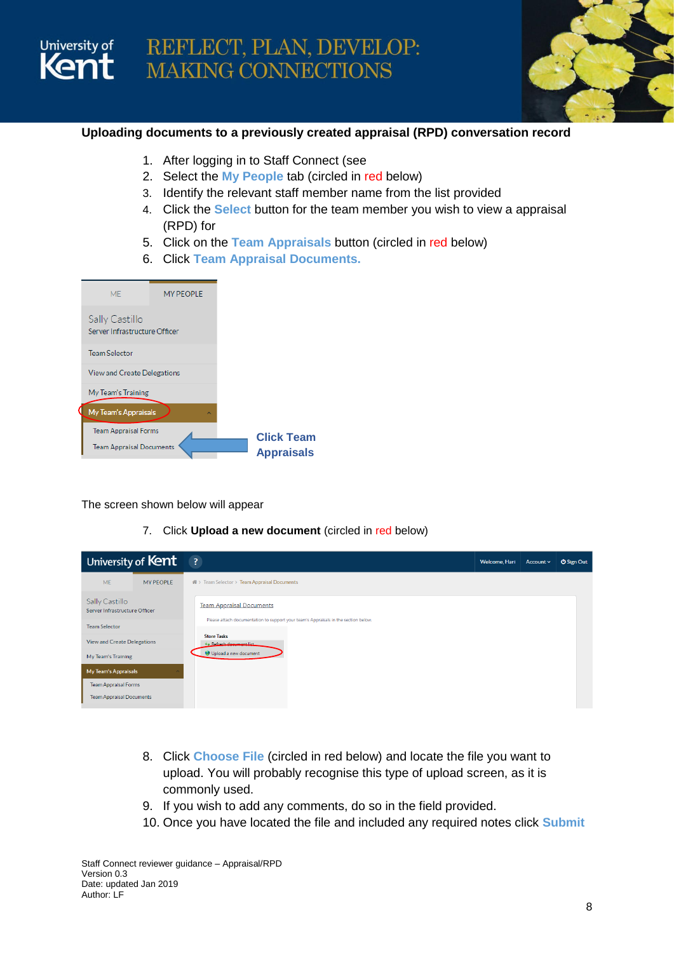

## **Uploading documents to a previously created appraisal (RPD) conversation record**

- 1. After logging in to Staff Connect (see
- 2. Select the **My People** tab (circled in red below)
- 3. Identify the relevant staff member name from the list provided
- 4. Click the **Select** button for the team member you wish to view a appraisal (RPD) for
- 5. Click on the **Team Appraisals** button (circled in red below)
- 6. Click **Team Appraisal Documents.**

| <b>MF</b>                                       | <b>MY PEOPLE</b> |
|-------------------------------------------------|------------------|
| Sally Castillo<br>Server Infrastructure Officer |                  |
| <b>Team Selector</b>                            |                  |
| View and Create Delegations                     |                  |
| My Team's Training                              |                  |
| <b>My Team's Appraisals</b>                     | ́                |
| <b>Team Appraisal Forms</b>                     |                  |
| <b>Team Appraisal Documents</b>                 |                  |

University of

The screen shown below will appear

7. Click **Upload a new document** (circled in red below)

| University of Kent                              |                  | $\overline{\mathbf{3}}$                                                             | Welcome, Hari | Account v | <b>U</b> Sign Out |
|-------------------------------------------------|------------------|-------------------------------------------------------------------------------------|---------------|-----------|-------------------|
| <b>ME</b>                                       | <b>MY PEOPLE</b> | 骨 > Team Selector > Team Appraisal Documents                                        |               |           |                   |
| Sally Castillo<br>Server Infrastructure Officer |                  | <b>Team Appraisal Documents</b>                                                     |               |           |                   |
| <b>Team Selector</b>                            |                  | Please attach documentation to support your team's Appraisals in the section below. |               |           |                   |
| <b>View and Create Delegations</b>              |                  | <b>Store Tasks</b><br>** Refrach document list                                      |               |           |                   |
| My Team's Training                              |                  | Upload a new document                                                               |               |           |                   |
| My Team's Appraisals                            |                  |                                                                                     |               |           |                   |
| <b>Team Appraisal Forms</b>                     |                  |                                                                                     |               |           |                   |
| <b>Team Appraisal Documents</b>                 |                  |                                                                                     |               |           |                   |

- 8. Click **Choose File** (circled in red below) and locate the file you want to upload. You will probably recognise this type of upload screen, as it is commonly used.
- 9. If you wish to add any comments, do so in the field provided.
- 10. Once you have located the file and included any required notes click **Submit**